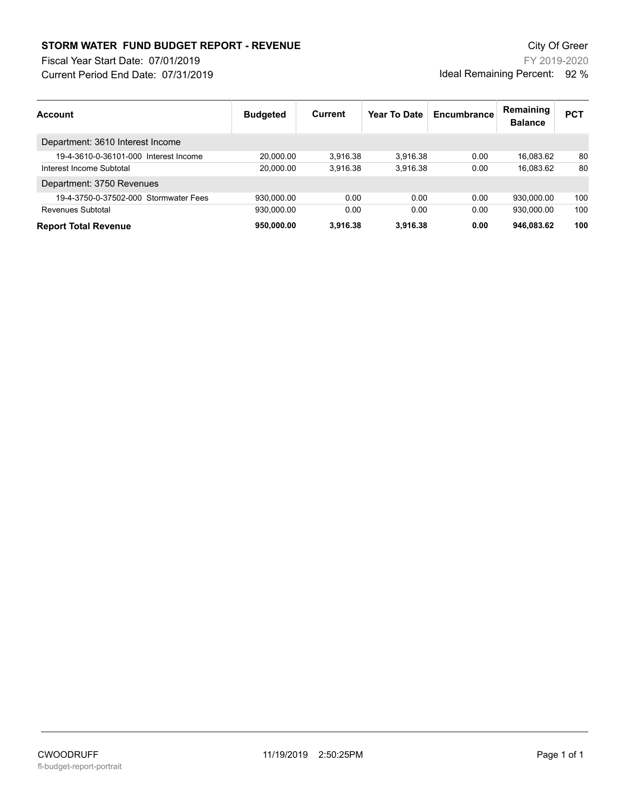## **STORM WATER FUND BUDGET REPORT - REVENUE City Of Greer** City Of Greer

Current Period End Date: 07/31/2019 Fiscal Year Start Date: 07/01/2019

FY 2019-2020 Ideal Remaining Percent: 92 %

| Account                               | <b>Budgeted</b> | <b>Current</b> | Year To Date | Encumbrance | Remaining<br><b>Balance</b> | <b>PCT</b> |
|---------------------------------------|-----------------|----------------|--------------|-------------|-----------------------------|------------|
| Department: 3610 Interest Income      |                 |                |              |             |                             |            |
| 19-4-3610-0-36101-000 Interest Income | 20,000.00       | 3.916.38       | 3.916.38     | 0.00        | 16.083.62                   | 80         |
| Interest Income Subtotal              | 20,000.00       | 3.916.38       | 3.916.38     | 0.00        | 16,083.62                   | 80         |
| Department: 3750 Revenues             |                 |                |              |             |                             |            |
| 19-4-3750-0-37502-000 Stormwater Fees | 930,000.00      | 0.00           | 0.00         | 0.00        | 930.000.00                  | 100        |
| Revenues Subtotal                     | 930.000.00      | 0.00           | 0.00         | 0.00        | 930.000.00                  | 100        |
| <b>Report Total Revenue</b>           | 950,000.00      | 3.916.38       | 3,916.38     | 0.00        | 946,083.62                  | 100        |